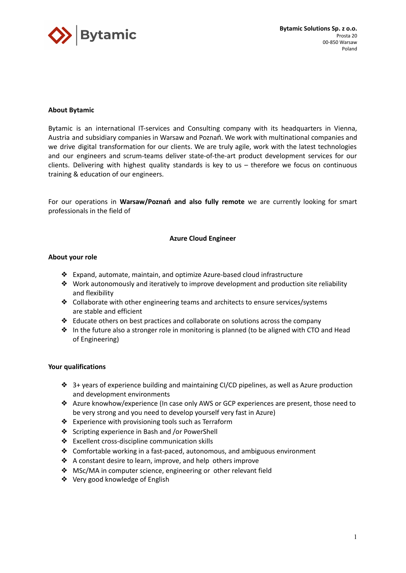

# **About Bytamic**

Bytamic is an international IT-services and Consulting company with its headquarters in Vienna, Austria and subsidiary companies in Warsaw and Poznań. We work with multinational companies and we drive digital transformation for our clients. We are truly agile, work with the latest technologies and our engineers and scrum-teams deliver state-of-the-art product development services for our clients. Delivering with highest quality standards is key to us – therefore we focus on continuous training & education of our engineers.

For our operations in **Warsaw/Poznań and also fully remote** we are currently looking for smart professionals in the field of

## **Azure Cloud Engineer**

## **About your role**

- ❖ Expand, automate, maintain, and optimize Azure-based cloud infrastructure
- ◆ Work autonomously and iteratively to improve development and production site reliability and flexibility
- ❖ Collaborate with other engineering teams and architects to ensure services/systems are stable and efficient
- ❖ Educate others on best practices and collaborate on solutions across the company
- ❖ In the future also a stronger role in monitoring is planned (to be aligned with CTO and Head of Engineering)

#### **Your qualifications**

- ❖ 3+ years of experience building and maintaining CI/CD pipelines, as well as Azure production and development environments
- ❖ Azure knowhow/experience (In case only AWS or GCP experiences are present, those need to be very strong and you need to develop yourself very fast in Azure)
- ❖ Experience with provisioning tools such as Terraform
- ❖ Scripting experience in Bash and /or PowerShell
- ❖ Excellent cross-discipline communication skills
- ❖ Comfortable working in a fast-paced, autonomous, and ambiguous environment
- ❖ A constant desire to learn, improve, and help others improve
- ❖ MSc/MA in computer science, engineering or other relevant field
- ❖ Very good knowledge of English